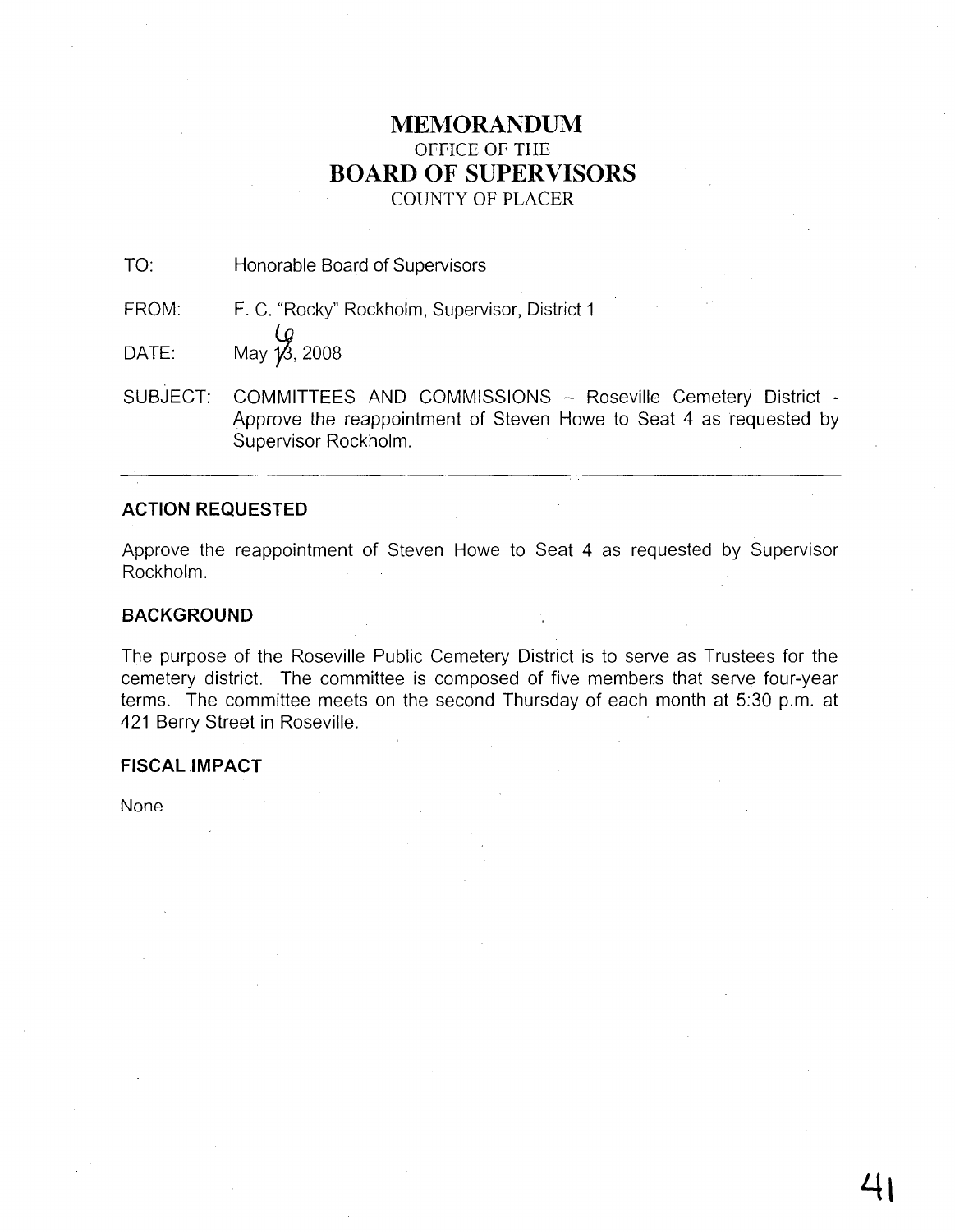# **MEMORANDUM** OFFICE OF THE **BOARD OF SUPERVISORS** COUNTY OF PLACER

TO: Honorable Board of Supervisors

FROM: F. C. "Rocky" Rockholm, Supervisor, District 1

 $\overline{OATE}$ : May  $\overline{18}$ , 2008

SUBJECT: COMMITTEES AND COMMISSIONS - Roseville Cemetery District -Approve the reappointment of Steven Howe to Seat 4 as requested by Supervisor Rockholm.

# **ACTION REQUESTED**

Approve the reappointment of Steven Howe to Seat 4 as requested by Supervisor Rockholm.

# **BACKGROUND**

The purpose of the Roseville Public Cemetery District is to serve as Trustees for the cemetery district. The committee is composed of five members that serve four-year terms. The committee meets on the second Thursday of each month at 5:30 p.m. at 421 Berry Street in Roseville.

# **FISCAL IMPACT**

None